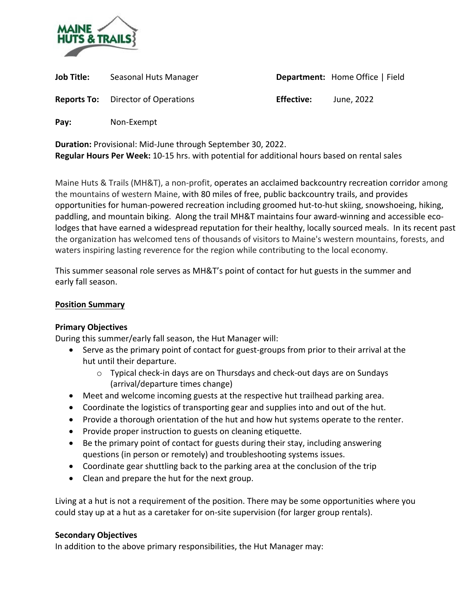

| Job Title: | Seasonal Huts Manager                     |                   | Department: Home Office   Field |
|------------|-------------------------------------------|-------------------|---------------------------------|
|            | <b>Reports To:</b> Director of Operations | <b>Effective:</b> | June, 2022                      |
| Pay:       | Non-Exempt                                |                   |                                 |

**Duration:** Provisional: Mid-June through September 30, 2022. **Regular Hours Per Week:** 10-15 hrs. with potential for additional hours based on rental sales

Maine Huts & Trails (MH&T), a non-profit, operates an acclaimed backcountry recreation corridor among the mountains of western Maine, with 80 miles of free, public backcountry trails, and provides opportunities for human-powered recreation including groomed hut-to-hut skiing, snowshoeing, hiking, paddling, and mountain biking. Along the trail MH&T maintains four award-winning and accessible ecolodges that have earned a widespread reputation for their healthy, locally sourced meals. In its recent past the organization has welcomed tens of thousands of visitors to Maine's western mountains, forests, and waters inspiring lasting reverence for the region while contributing to the local economy.

This summer seasonal role serves as MH&T's point of contact for hut guests in the summer and early fall season.

# **Position Summary**

# **Primary Objectives**

During this summer/early fall season, the Hut Manager will:

- Serve as the primary point of contact for guest-groups from prior to their arrival at the hut until their departure.
	- o Typical check-in days are on Thursdays and check-out days are on Sundays (arrival/departure times change)
- Meet and welcome incoming guests at the respective hut trailhead parking area.
- Coordinate the logistics of transporting gear and supplies into and out of the hut.
- Provide a thorough orientation of the hut and how hut systems operate to the renter.
- Provide proper instruction to guests on cleaning etiquette.
- Be the primary point of contact for guests during their stay, including answering questions (in person or remotely) and troubleshooting systems issues.
- Coordinate gear shuttling back to the parking area at the conclusion of the trip
- Clean and prepare the hut for the next group.

Living at a hut is not a requirement of the position. There may be some opportunities where you could stay up at a hut as a caretaker for on-site supervision (for larger group rentals).

## **Secondary Objectives**

In addition to the above primary responsibilities, the Hut Manager may: